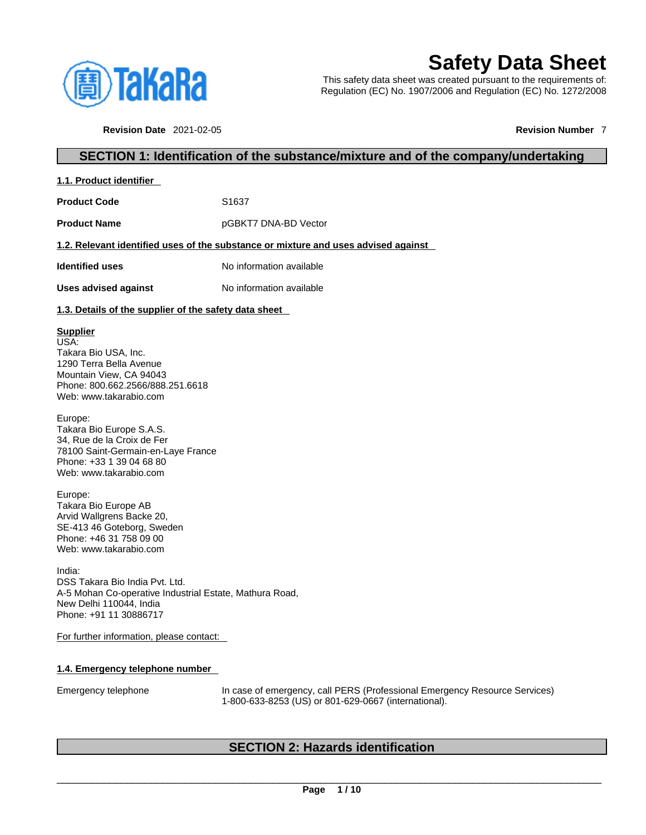

# **Safety Data Sheet**

This safety data sheet was created pursuant to the requirements of: Regulation (EC) No. 1907/2006 and Regulation (EC) No. 1272/2008

**Revision Date** 2021-02-05 **Revision Number** 7

# **SECTION 1: Identification of the substance/mixture and of the company/undertaking**

| 1.1. Product identifier |
|-------------------------|
|-------------------------|

**Product Code 51637** 

**Product Name pGBKT7 DNA-BD Vector** 

#### **1.2. Relevant identified uses of the substance or mixture and uses advised against**

**Identified uses** No information available

**Uses advised against** No information available

#### **1.3. Details of the supplier of the safety data sheet**

#### **Supplier**

USA: Takara Bio USA, Inc. 1290 Terra Bella Avenue Mountain View, CA 94043 Phone: 800.662.2566/888.251.6618 Web: www.takarabio.com

Europe: Takara Bio Europe S.A.S. 34, Rue de la Croix de Fer 78100 Saint-Germain-en-Laye France Phone: +33 1 39 04 68 80 Web: www.takarabio.com

Europe: Takara Bio Europe AB Arvid Wallgrens Backe 20, SE-413 46 Goteborg, Sweden Phone: +46 31 758 09 00 Web: www.takarabio.com

India: DSS Takara Bio India Pvt. Ltd. A-5 Mohan Co-operative Industrial Estate, Mathura Road, New Delhi 110044, India Phone: +91 11 30886717

For further information, please contact:

#### **1.4. Emergency telephone number**

Emergency telephone In case of emergency, call PERS (Professional Emergency Resource Services) 1-800-633-8253 (US) or 801-629-0667 (international).

# **SECTION 2: Hazards identification**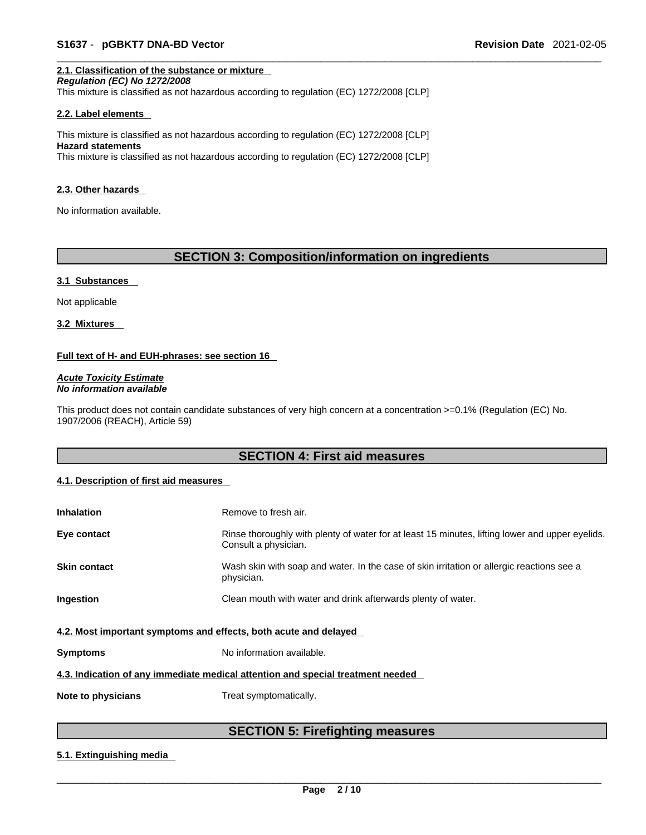## **2.1. Classification of the substance or mixture**

*Regulation (EC) No 1272/2008* 

This mixture is classified as not hazardous according to regulation (EC) 1272/2008 [CLP]

#### **2.2. Label elements**

This mixture is classified as not hazardous according to regulation (EC) 1272/2008 [CLP] **Hazard statements** This mixture is classified as not hazardous according to regulation (EC) 1272/2008 [CLP]

#### **2.3. Other hazards**

No information available.

# **SECTION 3: Composition/information on ingredients**

#### **3.1 Substances**

Not applicable

**3.2 Mixtures** 

#### **Full text of H- and EUH-phrases: see section 16**

*Acute Toxicity Estimate No information available* 

This product does not contain candidate substances of very high concern at a concentration >=0.1% (Regulation (EC) No. 1907/2006 (REACH), Article 59)

# **SECTION 4: First aid measures**

#### **4.1. Description of first aid measures**

| <b>Inhalation</b>                                                               | Remove to fresh air.                                                                                                    |  |
|---------------------------------------------------------------------------------|-------------------------------------------------------------------------------------------------------------------------|--|
| Eye contact                                                                     | Rinse thoroughly with plenty of water for at least 15 minutes, lifting lower and upper eyelids.<br>Consult a physician. |  |
| <b>Skin contact</b>                                                             | Wash skin with soap and water. In the case of skin irritation or allergic reactions see a<br>physician.                 |  |
| Ingestion                                                                       | Clean mouth with water and drink afterwards plenty of water.                                                            |  |
| 4.2. Most important symptoms and effects, both acute and delayed                |                                                                                                                         |  |
| <b>Symptoms</b>                                                                 | No information available.                                                                                               |  |
| 4.3. Indication of any immediate medical attention and special treatment needed |                                                                                                                         |  |
| Note to physicians                                                              | Treat symptomatically.                                                                                                  |  |

# **SECTION 5: Firefighting measures**

#### **5.1. Extinguishing media**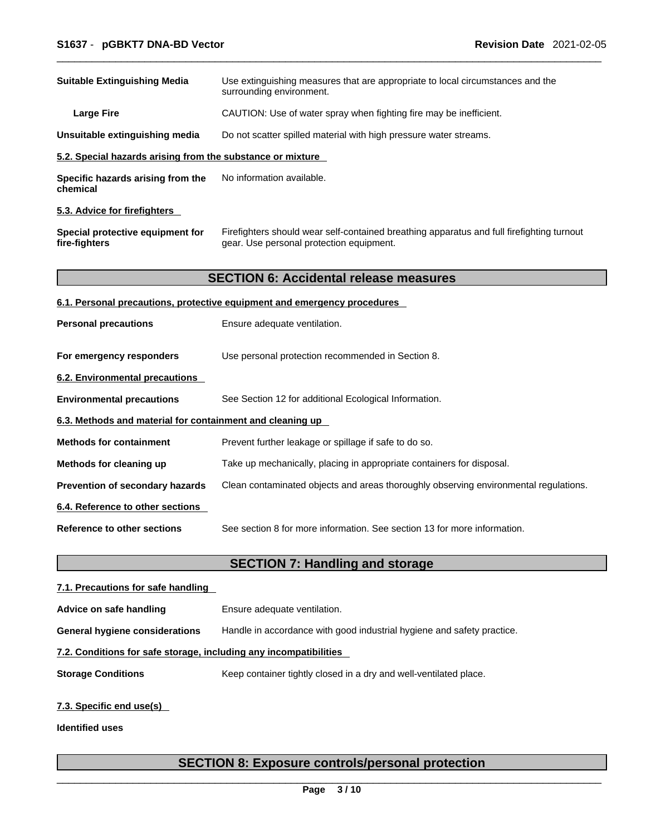| <b>Suitable Extinguishing Media</b>                                        | Use extinguishing measures that are appropriate to local circumstances and the<br>surrounding environment.                            |
|----------------------------------------------------------------------------|---------------------------------------------------------------------------------------------------------------------------------------|
| <b>Large Fire</b>                                                          | CAUTION: Use of water spray when fighting fire may be inefficient.                                                                    |
| Unsuitable extinguishing media                                             | Do not scatter spilled material with high pressure water streams.                                                                     |
| 5.2. Special hazards arising from the substance or mixture                 |                                                                                                                                       |
| No information available.<br>Specific hazards arising from the<br>chemical |                                                                                                                                       |
| 5.3. Advice for firefighters                                               |                                                                                                                                       |
| Special protective equipment for<br>fire-fighters                          | Firefighters should wear self-contained breathing apparatus and full firefighting turnout<br>gear. Use personal protection equipment. |
|                                                                            | <b>SECTION 6: Accidental release measures</b>                                                                                         |
|                                                                            | 6.1. Personal precautions, protective equipment and emergency procedures                                                              |
| <b>Personal precautions</b>                                                | Ensure adequate ventilation.                                                                                                          |
| For emergency responders                                                   | Use personal protection recommended in Section 8.                                                                                     |
| 6.2. Environmental precautions                                             |                                                                                                                                       |
| <b>Environmental precautions</b>                                           | See Section 12 for additional Ecological Information.                                                                                 |
| 6.3. Methods and material for containment and cleaning up                  |                                                                                                                                       |
| <b>Methods for containment</b>                                             | Prevent further leakage or spillage if safe to do so.                                                                                 |
| Methods for cleaning up                                                    | Take up mechanically, placing in appropriate containers for disposal.                                                                 |
| Prevention of secondary hazards                                            | Clean contaminated objects and areas thoroughly observing environmental regulations.                                                  |
| 6.4. Reference to other sections                                           |                                                                                                                                       |
| Reference to other sections                                                | See section 8 for more information. See section 13 for more information.                                                              |
|                                                                            | <b>SECTION 7: Handling and storage</b>                                                                                                |
| 7.1. Precautions for safe handling                                         |                                                                                                                                       |
| Advice on safe handling                                                    | Ensure adequate ventilation.                                                                                                          |

**General hygiene considerations** Handle in accordance with good industrial hygiene and safety practice.

#### **7.2. Conditions for safe storage, including any incompatibilities**

**Storage Conditions** Keep container tightly closed in a dry and well-ventilated place.

#### **7.3. Specific end use(s)**

**Identified uses**

# **SECTION 8: Exposure controls/personal protection**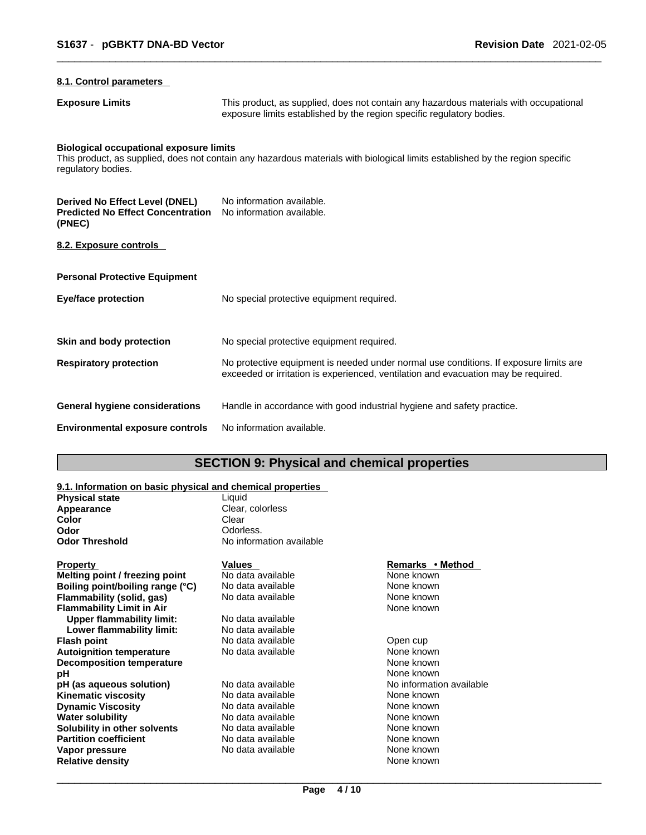#### **8.1. Control parameters**

**Exposure Limits** This product, as supplied, does not contain any hazardous materials with occupational exposure limits established by the region specific regulatory bodies.

# **Biological occupational exposure limits**

This product, as supplied, does not contain any hazardous materials with biological limits established by the region specific regulatory bodies.

| Derived No Effect Level (DNEL)<br><b>Predicted No Effect Concentration</b><br>(PNEC) | No information available.<br>No information available.                                                                                                                      |
|--------------------------------------------------------------------------------------|-----------------------------------------------------------------------------------------------------------------------------------------------------------------------------|
| 8.2. Exposure controls                                                               |                                                                                                                                                                             |
| <b>Personal Protective Equipment</b>                                                 |                                                                                                                                                                             |
| Eye/face protection                                                                  | No special protective equipment required.                                                                                                                                   |
| Skin and body protection                                                             | No special protective equipment required.                                                                                                                                   |
| <b>Respiratory protection</b>                                                        | No protective equipment is needed under normal use conditions. If exposure limits are<br>exceeded or irritation is experienced, ventilation and evacuation may be required. |
| General hygiene considerations                                                       | Handle in accordance with good industrial hygiene and safety practice.                                                                                                      |
| <b>Environmental exposure controls</b>                                               | No information available.                                                                                                                                                   |

# **SECTION 9: Physical and chemical properties**

### **9.1. Information on basic physical and chemical properties**

| <u>U.T. MNUMMUUN UN DUUNG DHYUNGI UNU UNUMMUU DI UDULIICU</u> |                                    |  |
|---------------------------------------------------------------|------------------------------------|--|
| <b>Physical state</b>                                         | Liauid                             |  |
| Appearance                                                    | Clear, colorless                   |  |
| Color                                                         | Clear                              |  |
| Odor                                                          | Odorless.                          |  |
| <b>Odor Threshold</b>                                         | No information available           |  |
| <b>Property</b><br>Melting point / freezing point             | <b>Values</b><br>No data available |  |

| Melting point / freezing point   | No data available | None known               |
|----------------------------------|-------------------|--------------------------|
| Boiling point/boiling range (°C) | No data available | None known               |
| Flammability (solid, gas)        | No data available | None known               |
| <b>Flammability Limit in Air</b> |                   | None known               |
| Upper flammability limit:        | No data available |                          |
| Lower flammability limit:        | No data available |                          |
| <b>Flash point</b>               | No data available | Open cup                 |
| <b>Autoignition temperature</b>  | No data available | None known               |
| <b>Decomposition temperature</b> |                   | None known               |
| рH                               |                   | None known               |
| pH (as aqueous solution)         | No data available | No information available |
| <b>Kinematic viscosity</b>       | No data available | None known               |
| <b>Dynamic Viscosity</b>         | No data available | None known               |
| <b>Water solubility</b>          | No data available | None known               |
| Solubility in other solvents     | No data available | None known               |
| <b>Partition coefficient</b>     | No data available | None known               |
| Vapor pressure                   | No data available | None known               |
| <b>Relative density</b>          |                   | None known               |

#### **Property Values Remarks • Method**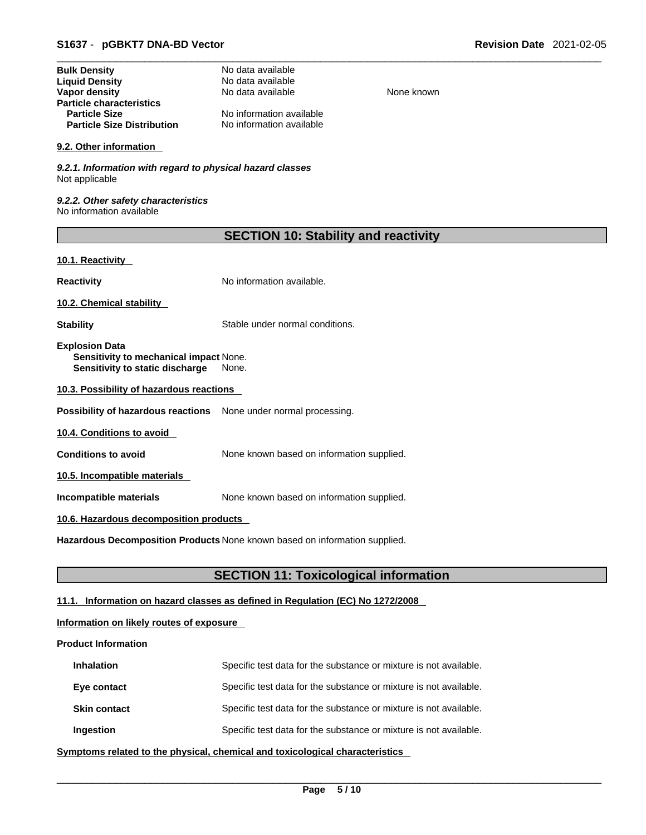| <b>Bulk Density</b>               | No data available        |
|-----------------------------------|--------------------------|
| <b>Liquid Density</b>             | No data available        |
| Vapor density                     | No data available        |
| <b>Particle characteristics</b>   |                          |
| <b>Particle Size</b>              | No information available |
| <b>Particle Size Distribution</b> | No information available |

#### **9.2. Other information**

*9.2.1. Information with regard to physical hazard classes* Not applicable

*9.2.2. Other safety characteristics* No information available

| <b>SECTION 10: Stability and reactivity</b> |  |  |
|---------------------------------------------|--|--|
|---------------------------------------------|--|--|

**None known** 

#### **10.1. Reactivity**

**Reactivity No information available.** 

**10.2. Chemical stability** 

**Stability** Stable under normal conditions.

**Explosion Data Sensitivity to mechanical impact** None. **Sensitivity to static discharge** None.

**10.3. Possibility of hazardous reactions**

**Possibility of hazardous reactions** None under normal processing.

**10.4. Conditions to avoid** 

**Conditions to avoid** None known based on information supplied.

**10.5. Incompatible materials**

**Incompatible materials** None known based on information supplied.

#### **10.6. Hazardous decomposition products**

**Hazardous Decomposition Products** None known based on information supplied.

# **SECTION 11: Toxicological information**

# **11.1. Information on hazard classes as defined in Regulation (EC) No 1272/2008**

#### **Information on likely routes of exposure**

#### **Product Information**

| <b>Inhalation</b>   | Specific test data for the substance or mixture is not available. |
|---------------------|-------------------------------------------------------------------|
| Eye contact         | Specific test data for the substance or mixture is not available. |
| <b>Skin contact</b> | Specific test data for the substance or mixture is not available. |
| Ingestion           | Specific test data for the substance or mixture is not available. |

**<u>Symptoms related to the physical, chemical and toxicological characteristics</u>**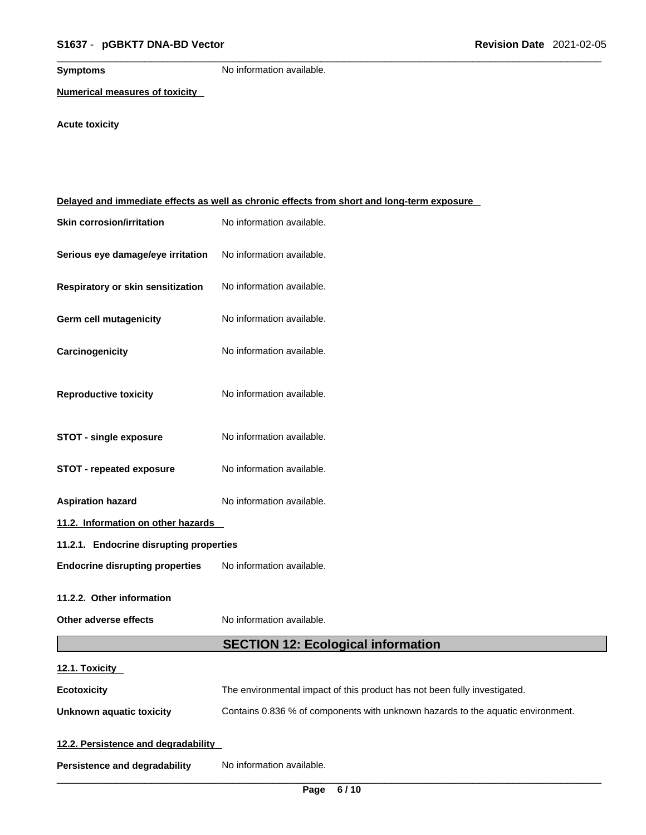**Symptoms** No information available.

**Numerical measures of toxicity**

# **Acute toxicity**

| Delayed and immediate effects as well as chronic effects from short and long-term exposure |                                                                                 |  |  |
|--------------------------------------------------------------------------------------------|---------------------------------------------------------------------------------|--|--|
| <b>Skin corrosion/irritation</b>                                                           | No information available.                                                       |  |  |
| Serious eye damage/eye irritation                                                          | No information available.                                                       |  |  |
| Respiratory or skin sensitization                                                          | No information available.                                                       |  |  |
| Germ cell mutagenicity                                                                     | No information available.                                                       |  |  |
| Carcinogenicity                                                                            | No information available.                                                       |  |  |
| <b>Reproductive toxicity</b>                                                               | No information available.                                                       |  |  |
| <b>STOT - single exposure</b>                                                              | No information available.                                                       |  |  |
| <b>STOT - repeated exposure</b>                                                            | No information available.                                                       |  |  |
| <b>Aspiration hazard</b>                                                                   | No information available.                                                       |  |  |
| 11.2. Information on other hazards                                                         |                                                                                 |  |  |
| 11.2.1. Endocrine disrupting properties                                                    |                                                                                 |  |  |
| <b>Endocrine disrupting properties</b>                                                     | No information available.                                                       |  |  |
| 11.2.2. Other information                                                                  |                                                                                 |  |  |
| Other adverse effects                                                                      | No information available.                                                       |  |  |
|                                                                                            |                                                                                 |  |  |
|                                                                                            | <b>SECTION 12: Ecological information</b>                                       |  |  |
| 12.1. Toxicity                                                                             |                                                                                 |  |  |
| <b>Ecotoxicity</b>                                                                         | The environmental impact of this product has not been fully investigated.       |  |  |
| <b>Unknown aquatic toxicity</b>                                                            | Contains 0.836 % of components with unknown hazards to the aquatic environment. |  |  |
| 12.2. Persistence and degradability                                                        |                                                                                 |  |  |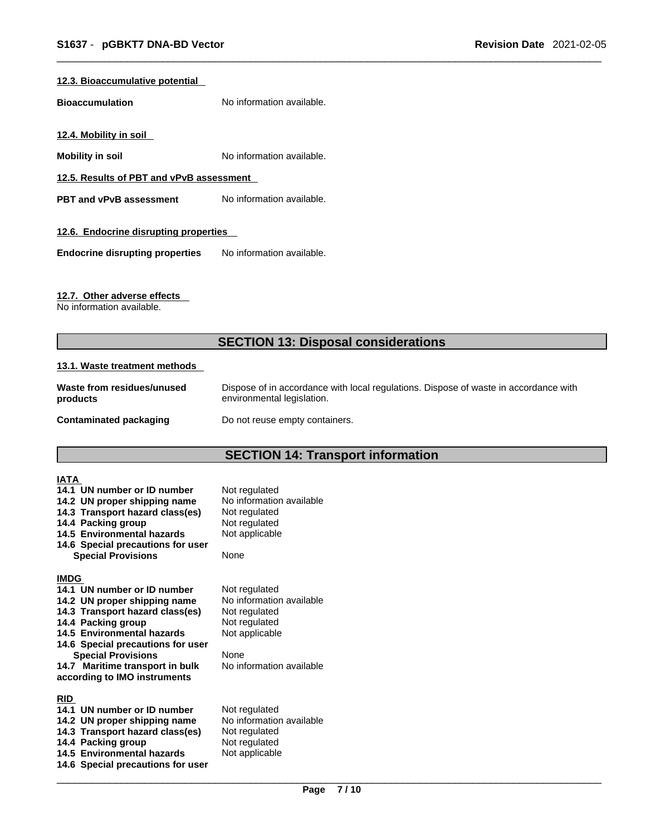#### **12.3. Bioaccumulative potential**

**Bioaccumulation** No information available.

**12.4. Mobility in soil** 

**Mobility in soil Mobility in soil No** information available.

**12.5. Results of PBT and vPvB assessment**

**PBT** and **vPvB** assessment No information available.

#### **12.6. Endocrine disrupting properties**

**Endocrine disrupting properties** No information available.

#### **12.7. Other adverse effects**

No information available.

# **SECTION 13: Disposal considerations**

#### **13.1. Waste treatment methods**

| Waste from residues/unused | Dispose of in accordance with local regulations. Dispose of waste in accordance with |
|----------------------------|--------------------------------------------------------------------------------------|
| products                   | environmental legislation.                                                           |
| Contaminated packaging     | Do not reuse empty containers.                                                       |

# **SECTION 14: Transport information**

| IATA        |                                                             |                                           |
|-------------|-------------------------------------------------------------|-------------------------------------------|
|             | 14.1 UN number or ID number<br>14.2 UN proper shipping name | Not regulated<br>No information available |
|             | 14.3 Transport hazard class(es)                             | Not regulated                             |
|             | 14.4 Packing group                                          | Not regulated                             |
|             | 14.5 Environmental hazards                                  | Not applicable                            |
|             | 14.6 Special precautions for user                           |                                           |
|             | <b>Special Provisions</b>                                   | None                                      |
| <b>IMDG</b> |                                                             |                                           |
|             | 14.1 UN number or ID number                                 | Not regulated                             |
|             | 14.2 UN proper shipping name                                | No information available                  |
|             | 14.3 Transport hazard class(es)                             | Not regulated                             |
|             | 14.4 Packing group                                          | Not regulated                             |
|             | 14.5 Environmental hazards                                  | Not applicable                            |
|             | 14.6 Special precautions for user                           |                                           |
|             | <b>Special Provisions</b>                                   | None                                      |
|             | 14.7 Maritime transport in bulk                             | No information available                  |
|             | according to IMO instruments                                |                                           |
| <b>RID</b>  |                                                             |                                           |
|             | 14.1 UN number or ID number                                 | Not regulated                             |
|             | 14.2 UN proper shipping name                                | No information available                  |
|             | 14.3 Transport hazard class(es)                             | Not regulated                             |
|             | 14.4 Packing group                                          | Not regulated                             |
|             | 14.5 Environmental hazards                                  | Not applicable                            |
|             | 14.6 Special precautions for user                           |                                           |
|             |                                                             |                                           |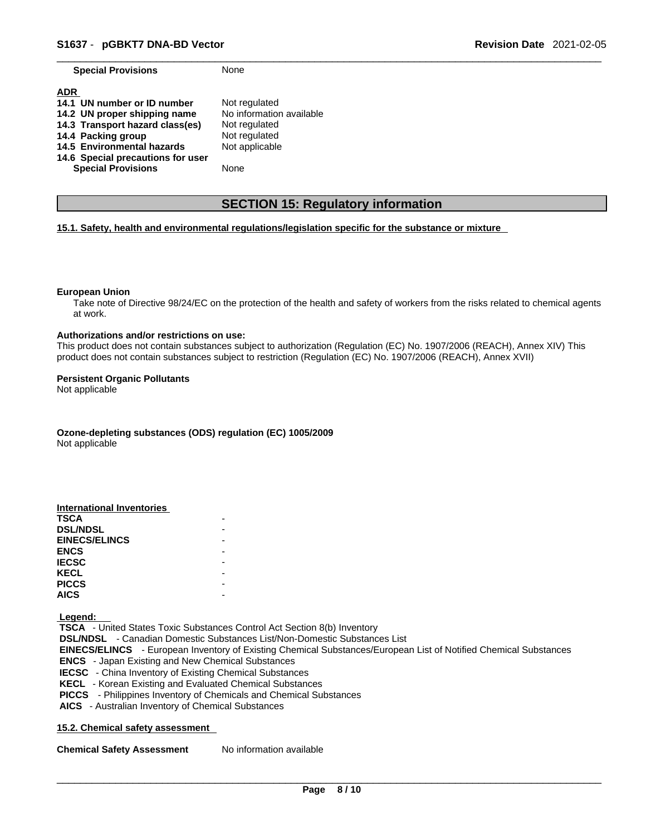**Special Provisions** None

| <b>ADR</b>                        |                          |
|-----------------------------------|--------------------------|
| 14.1 UN number or ID number       | Not regulated            |
| 14.2 UN proper shipping name      | No information available |
| 14.3 Transport hazard class(es)   | Not regulated            |
| 14.4 Packing group                | Not regulated            |
| 14.5 Environmental hazards        | Not applicable           |
| 14.6 Special precautions for user |                          |
| <b>Special Provisions</b>         | None                     |

# **SECTION 15: Regulatory information**

#### **15.1. Safety, health and environmental regulations/legislation specific for the substance or mixture**

#### **European Union**

Take note of Directive 98/24/EC on the protection of the health and safety of workers from the risks related to chemical agents at work.

#### **Authorizations and/or restrictions on use:**

This product does not contain substances subject to authorization (Regulation (EC) No. 1907/2006 (REACH), Annex XIV) This product does not contain substances subject to restriction (Regulation (EC) No. 1907/2006 (REACH), Annex XVII)

#### **Persistent Organic Pollutants**

Not applicable

**Ozone-depleting substances (ODS) regulation (EC) 1005/2009**

Not applicable

| International Inventories |  |
|---------------------------|--|
| <b>TSCA</b>               |  |
| <b>DSL/NDSL</b>           |  |
| <b>EINECS/ELINCS</b>      |  |
| <b>ENCS</b>               |  |
| <b>IECSC</b>              |  |
| <b>KECL</b>               |  |
| <b>PICCS</b>              |  |
| <b>AICS</b>               |  |

 **Legend:** 

 **TSCA** - United States Toxic Substances Control Act Section 8(b) Inventory  **DSL/NDSL** - Canadian Domestic Substances List/Non-Domestic Substances List  **EINECS/ELINCS** - European Inventory of Existing Chemical Substances/European List of Notified Chemical Substances  **ENCS** - Japan Existing and New Chemical Substances  **IECSC** - China Inventory of Existing Chemical Substances  **KECL** - Korean Existing and Evaluated Chemical Substances  **PICCS** - Philippines Inventory of Chemicals and Chemical Substances  **AICS** - Australian Inventory of Chemical Substances

#### **15.2. Chemical safety assessment**

**Chemical Safety Assessment** No information available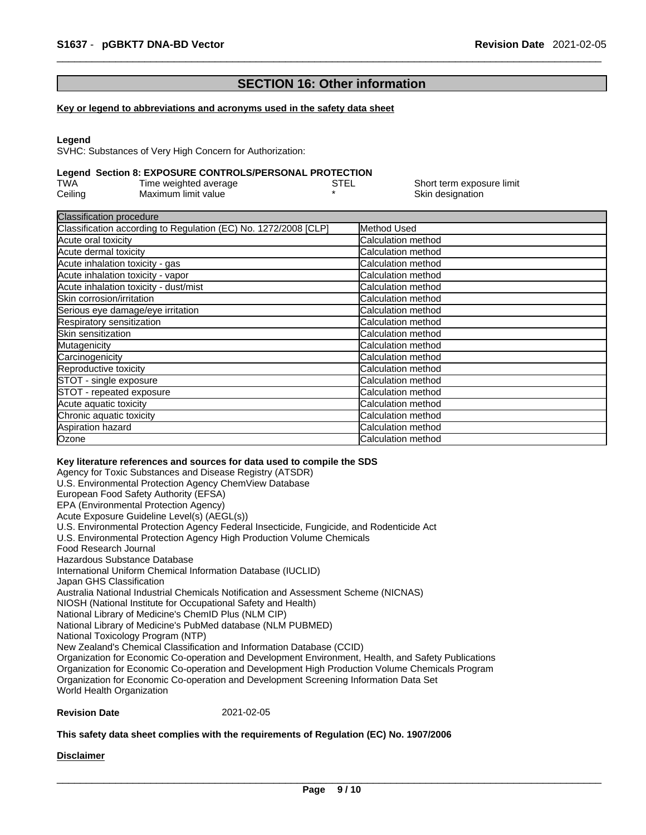# **SECTION 16: Other information**

#### **Key or legend to abbreviations and acronyms used in the safety data sheet**

#### **Legend**

SVHC: Substances of Very High Concern for Authorization:

#### **Legend Section 8: EXPOSURE CONTROLS/PERSONAL PROTECTION**

| TWA     | Time weighted average | STEL | Short term exposure limit |
|---------|-----------------------|------|---------------------------|
| Ceiling | Maximum limit value   |      | Skin designation          |

| <b>Classification procedure</b>                                 |                           |  |
|-----------------------------------------------------------------|---------------------------|--|
| Classification according to Regulation (EC) No. 1272/2008 [CLP] | Method Used               |  |
| Acute oral toxicity                                             | Calculation method        |  |
| Acute dermal toxicity                                           | Calculation method        |  |
| Acute inhalation toxicity - gas                                 | Calculation method        |  |
| Acute inhalation toxicity - vapor                               | Calculation method        |  |
| Acute inhalation toxicity - dust/mist                           | Calculation method        |  |
| Skin corrosion/irritation                                       | Calculation method        |  |
| Serious eye damage/eye irritation                               | Calculation method        |  |
| Respiratory sensitization                                       | Calculation method        |  |
| Skin sensitization                                              | Calculation method        |  |
| Mutagenicity                                                    | Calculation method        |  |
| Carcinogenicity                                                 | Calculation method        |  |
| Reproductive toxicity                                           | <b>Calculation method</b> |  |
| STOT - single exposure                                          | Calculation method        |  |
| STOT - repeated exposure                                        | Calculation method        |  |
| Acute aquatic toxicity                                          | Calculation method        |  |
| Chronic aquatic toxicity                                        | Calculation method        |  |
| Aspiration hazard                                               | Calculation method        |  |
| Ozone                                                           | Calculation method        |  |

#### **Key literature references and sources for data used to compile the SDS**

Agency for Toxic Substances and Disease Registry (ATSDR) U.S. Environmental Protection Agency ChemView Database European Food Safety Authority (EFSA) EPA (Environmental Protection Agency) Acute Exposure Guideline Level(s) (AEGL(s)) U.S. Environmental Protection Agency Federal Insecticide, Fungicide, and Rodenticide Act U.S. Environmental Protection Agency High Production Volume Chemicals Food Research Journal Hazardous Substance Database International Uniform Chemical Information Database (IUCLID) Japan GHS Classification Australia National Industrial Chemicals Notification and Assessment Scheme (NICNAS) NIOSH (National Institute for Occupational Safety and Health) National Library of Medicine's ChemID Plus (NLM CIP) National Library of Medicine's PubMed database (NLM PUBMED) National Toxicology Program (NTP) New Zealand's Chemical Classification and Information Database (CCID) Organization for Economic Co-operation and Development Environment, Health, and Safety Publications Organization for Economic Co-operation and Development High Production Volume Chemicals Program Organization for Economic Co-operation and Development Screening Information Data Set World Health Organization

#### **Revision Date** 2021-02-05

#### **This safety data sheet complies with the requirements of Regulation (EC) No. 1907/2006**

**Disclaimer**